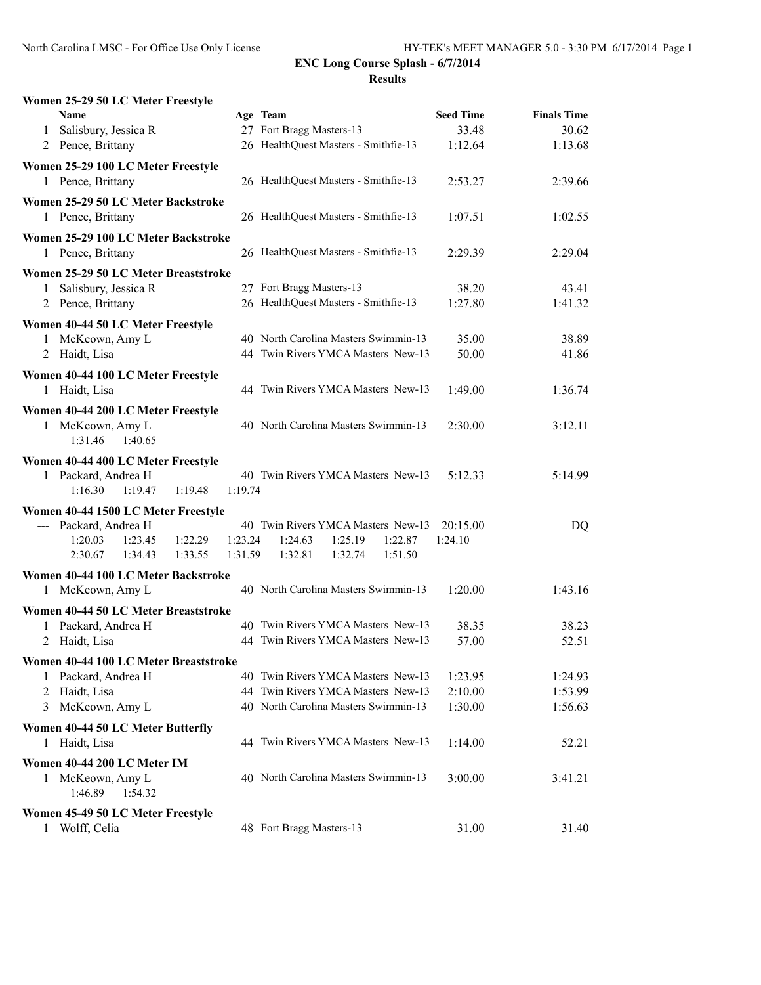## **Women 25-29 50 LC Meter Freestyle**

| Name                                  |         | Age Team                             | <b>Seed Time</b> | <b>Finals Time</b> |  |
|---------------------------------------|---------|--------------------------------------|------------------|--------------------|--|
| 1 Salisbury, Jessica R                |         | 27 Fort Bragg Masters-13             | 33.48            | 30.62              |  |
| 2 Pence, Brittany                     |         | 26 HealthQuest Masters - Smithfie-13 | 1:12.64          | 1:13.68            |  |
|                                       |         |                                      |                  |                    |  |
| Women 25-29 100 LC Meter Freestyle    |         |                                      |                  |                    |  |
| 1 Pence, Brittany                     |         | 26 HealthQuest Masters - Smithfie-13 | 2:53.27          | 2:39.66            |  |
| Women 25-29 50 LC Meter Backstroke    |         |                                      |                  |                    |  |
| 1 Pence, Brittany                     |         | 26 HealthQuest Masters - Smithfie-13 | 1:07.51          | 1:02.55            |  |
| Women 25-29 100 LC Meter Backstroke   |         |                                      |                  |                    |  |
| 1 Pence, Brittany                     |         | 26 HealthQuest Masters - Smithfie-13 | 2:29.39          | 2:29.04            |  |
|                                       |         |                                      |                  |                    |  |
| Women 25-29 50 LC Meter Breaststroke  |         |                                      |                  |                    |  |
| Salisbury, Jessica R<br>1             |         | 27 Fort Bragg Masters-13             | 38.20            | 43.41              |  |
| 2 Pence, Brittany                     |         | 26 HealthQuest Masters - Smithfie-13 | 1:27.80          | 1:41.32            |  |
| Women 40-44 50 LC Meter Freestyle     |         |                                      |                  |                    |  |
| 1 McKeown, Amy L                      |         | 40 North Carolina Masters Swimmin-13 | 35.00            | 38.89              |  |
| 2 Haidt, Lisa                         |         | 44 Twin Rivers YMCA Masters New-13   | 50.00            | 41.86              |  |
| Women 40-44 100 LC Meter Freestyle    |         |                                      |                  |                    |  |
| 1 Haidt, Lisa                         |         | 44 Twin Rivers YMCA Masters New-13   | 1:49.00          | 1:36.74            |  |
|                                       |         |                                      |                  |                    |  |
| Women 40-44 200 LC Meter Freestyle    |         |                                      |                  |                    |  |
| 1 McKeown, Amy L                      |         | 40 North Carolina Masters Swimmin-13 | 2:30.00          | 3:12.11            |  |
| 1:31.46<br>1:40.65                    |         |                                      |                  |                    |  |
| Women 40-44 400 LC Meter Freestyle    |         |                                      |                  |                    |  |
| 1 Packard, Andrea H                   |         | 40 Twin Rivers YMCA Masters New-13   | 5:12.33          | 5:14.99            |  |
| 1:16.30<br>1:19.47<br>1:19.48         | 1:19.74 |                                      |                  |                    |  |
| Women 40-44 1500 LC Meter Freestyle   |         |                                      |                  |                    |  |
| --- Packard, Andrea H                 |         | 40 Twin Rivers YMCA Masters New-13   | 20:15.00         | DQ                 |  |
| 1:20.03<br>1:23.45<br>1:22.29         | 1:23.24 | 1:24.63<br>1:25.19<br>1:22.87        | 1:24.10          |                    |  |
| 2:30.67<br>1:34.43<br>1:33.55         | 1:31.59 | 1:32.81<br>1:32.74<br>1:51.50        |                  |                    |  |
| Women 40-44 100 LC Meter Backstroke   |         |                                      |                  |                    |  |
| 1 McKeown, Amy L                      |         | 40 North Carolina Masters Swimmin-13 | 1:20.00          | 1:43.16            |  |
|                                       |         |                                      |                  |                    |  |
| Women 40-44 50 LC Meter Breaststroke  |         |                                      |                  |                    |  |
| Packard, Andrea H                     |         | 40 Twin Rivers YMCA Masters New-13   | 38.35            | 38.23              |  |
| 2 Haidt, Lisa                         |         | 44 Twin Rivers YMCA Masters New-13   | 57.00            | 52.51              |  |
| Women 40-44 100 LC Meter Breaststroke |         |                                      |                  |                    |  |
| Packard, Andrea H                     |         | 40 Twin Rivers YMCA Masters New-13   | 1:23.95          | 1:24.93            |  |
| 2 Haidt, Lisa                         |         | 44 Twin Rivers YMCA Masters New-13   | 2:10.00          | 1:53.99            |  |
| McKeown, Amy L<br>3                   |         | 40 North Carolina Masters Swimmin-13 | 1:30.00          | 1:56.63            |  |
| Women 40-44 50 LC Meter Butterfly     |         |                                      |                  |                    |  |
| 1 Haidt, Lisa                         |         | 44 Twin Rivers YMCA Masters New-13   | 1:14.00          | 52.21              |  |
|                                       |         |                                      |                  |                    |  |
| Women 40-44 200 LC Meter IM           |         |                                      |                  |                    |  |
| 1 McKeown, Amy L                      |         | 40 North Carolina Masters Swimmin-13 | 3:00.00          | 3:41.21            |  |
| 1:46.89<br>1:54.32                    |         |                                      |                  |                    |  |
| Women 45-49 50 LC Meter Freestyle     |         |                                      |                  |                    |  |
| 1 Wolff, Celia                        |         | 48 Fort Bragg Masters-13             | 31.00            | 31.40              |  |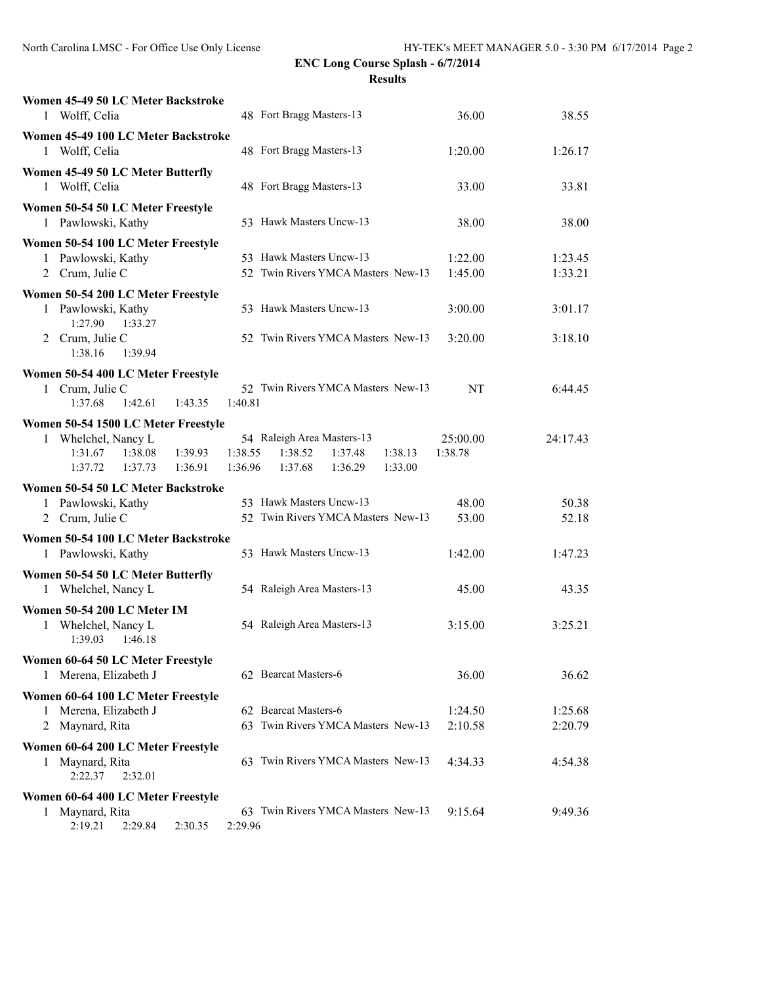| Women 45-49 50 LC Meter Backstroke<br>1 Wolff, Celia                                  | 48 Fort Bragg Masters-13                                                                                           | 36.00               | 38.55    |
|---------------------------------------------------------------------------------------|--------------------------------------------------------------------------------------------------------------------|---------------------|----------|
| Women 45-49 100 LC Meter Backstroke<br>1 Wolff, Celia                                 | 48 Fort Bragg Masters-13                                                                                           | 1:20.00             | 1:26.17  |
| Women 45-49 50 LC Meter Butterfly<br>1 Wolff, Celia                                   | 48 Fort Bragg Masters-13                                                                                           | 33.00               | 33.81    |
| Women 50-54 50 LC Meter Freestyle<br>1 Pawlowski, Kathy                               | 53 Hawk Masters Uncw-13                                                                                            | 38.00               | 38.00    |
| Women 50-54 100 LC Meter Freestyle<br>1 Pawlowski, Kathy                              | 53 Hawk Masters Uncw-13                                                                                            | 1:22.00             | 1:23.45  |
| 2 Crum, Julie C                                                                       | 52 Twin Rivers YMCA Masters New-13                                                                                 | 1:45.00             | 1:33.21  |
| Women 50-54 200 LC Meter Freestyle                                                    |                                                                                                                    |                     |          |
| 1 Pawlowski, Kathy<br>1:27.90<br>1:33.27                                              | 53 Hawk Masters Uncw-13                                                                                            | 3:00.00             | 3:01.17  |
| 2 Crum, Julie C<br>1:38.16<br>1:39.94                                                 | 52 Twin Rivers YMCA Masters New-13                                                                                 | 3:20.00             | 3:18.10  |
| Women 50-54 400 LC Meter Freestyle                                                    |                                                                                                                    |                     |          |
| Crum, Julie C<br>1<br>1:37.68<br>1:42.61<br>1:43.35                                   | 52 Twin Rivers YMCA Masters New-13<br>1:40.81                                                                      | NT                  | 6:44.45  |
| Women 50-54 1500 LC Meter Freestyle                                                   |                                                                                                                    |                     |          |
| 1 Whelchel, Nancy L<br>1:31.67<br>1:38.08<br>1:39.93<br>1:36.91<br>1:37.72<br>1:37.73 | 54 Raleigh Area Masters-13<br>1:38.55<br>1:38.52<br>1:37.48<br>1:38.13<br>1:36.96<br>1:37.68<br>1:36.29<br>1:33.00 | 25:00.00<br>1:38.78 | 24:17.43 |
| Women 50-54 50 LC Meter Backstroke                                                    |                                                                                                                    |                     |          |
| 1 Pawlowski, Kathy                                                                    | 53 Hawk Masters Uncw-13                                                                                            | 48.00               | 50.38    |
| 2 Crum, Julie C                                                                       | 52 Twin Rivers YMCA Masters New-13                                                                                 | 53.00               | 52.18    |
| Women 50-54 100 LC Meter Backstroke                                                   |                                                                                                                    |                     |          |
| 1 Pawlowski, Kathy                                                                    | 53 Hawk Masters Uncw-13                                                                                            | 1:42.00             | 1:47.23  |
| Women 50-54 50 LC Meter Butterfly                                                     |                                                                                                                    |                     |          |
| 1 Whelchel, Nancy L                                                                   | 54 Raleigh Area Masters-13                                                                                         | 45.00               | 43.35    |
| Women 50-54 200 LC Meter IM<br>Whelchel, Nancy L<br>1<br>1:39.03<br>1:46.18           | 54 Raleigh Area Masters-13                                                                                         | 3:15.00             | 3:25.21  |
| Women 60-64 50 LC Meter Freestyle                                                     |                                                                                                                    |                     |          |
| 1 Merena, Elizabeth J                                                                 | 62 Bearcat Masters-6                                                                                               | 36.00               | 36.62    |
| Women 60-64 100 LC Meter Freestyle                                                    |                                                                                                                    |                     |          |
| Merena, Elizabeth J<br>1                                                              | 62 Bearcat Masters-6                                                                                               | 1:24.50             | 1:25.68  |
| Maynard, Rita<br>2                                                                    | 63 Twin Rivers YMCA Masters New-13                                                                                 | 2:10.58             | 2:20.79  |
| Women 60-64 200 LC Meter Freestyle<br>Maynard, Rita<br>1<br>2:22.37<br>2:32.01        | 63 Twin Rivers YMCA Masters New-13                                                                                 | 4:34.33             | 4:54.38  |
| Women 60-64 400 LC Meter Freestyle                                                    |                                                                                                                    |                     |          |
| Maynard, Rita<br>1<br>2:19.21<br>2:29.84<br>2:30.35                                   | 63 Twin Rivers YMCA Masters New-13<br>2:29.96                                                                      | 9:15.64             | 9:49.36  |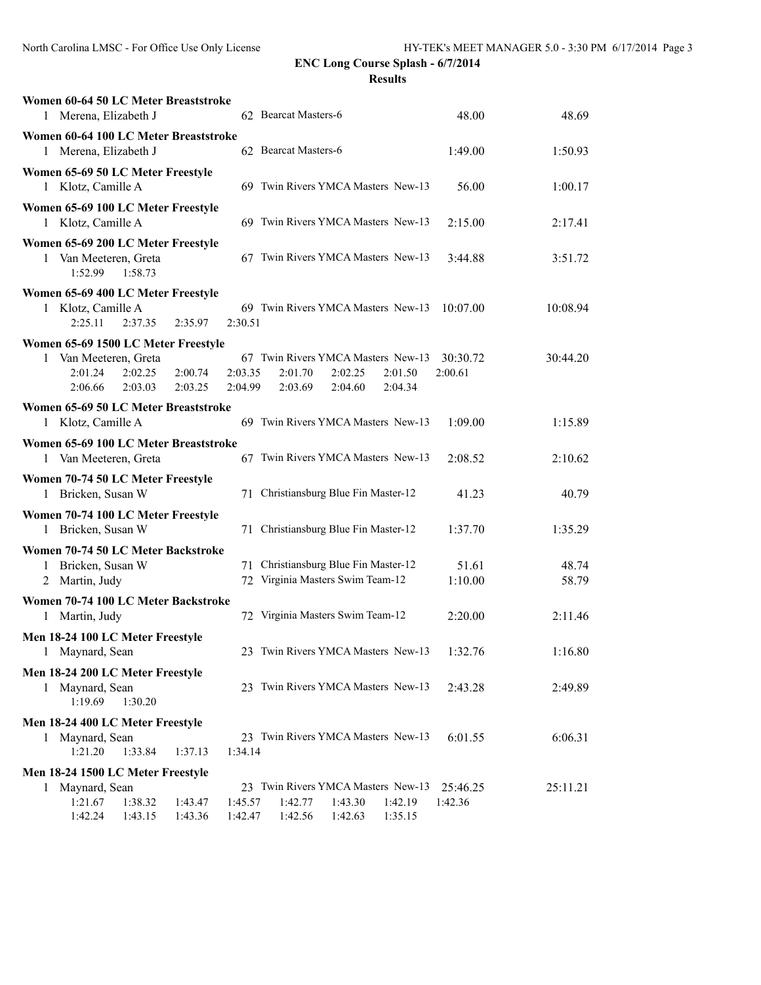| Women 60-64 50 LC Meter Breaststroke<br>1 Merena, Elizabeth J                      |                    |                    |                    | 62 Bearcat Masters-6                                                                                 | 48.00               | 48.69          |
|------------------------------------------------------------------------------------|--------------------|--------------------|--------------------|------------------------------------------------------------------------------------------------------|---------------------|----------------|
| Women 60-64 100 LC Meter Breaststroke<br>1 Merena, Elizabeth J                     |                    |                    |                    | 62 Bearcat Masters-6                                                                                 | 1:49.00             | 1:50.93        |
| Women 65-69 50 LC Meter Freestyle<br>1 Klotz, Camille A                            |                    |                    |                    | 69 Twin Rivers YMCA Masters New-13                                                                   | 56.00               | 1:00.17        |
| Women 65-69 100 LC Meter Freestyle<br>1 Klotz, Camille A                           |                    |                    |                    | 69 Twin Rivers YMCA Masters New-13                                                                   | 2:15.00             | 2:17.41        |
| Women 65-69 200 LC Meter Freestyle<br>1 Van Meeteren, Greta<br>1:52.99             | 1:58.73            |                    |                    | 67 Twin Rivers YMCA Masters New-13                                                                   | 3:44.88             | 3:51.72        |
| Women 65-69 400 LC Meter Freestyle<br>1 Klotz, Camille A<br>2:25.11                | 2:37.35            | 2:35.97            | 2:30.51            | 69 Twin Rivers YMCA Masters New-13                                                                   | 10:07.00            | 10:08.94       |
| Women 65-69 1500 LC Meter Freestyle<br>1 Van Meeteren, Greta<br>2:01.24<br>2:06.66 | 2:02.25<br>2:03.03 | 2:00.74<br>2:03.25 | 2:03.35<br>2:04.99 | 67 Twin Rivers YMCA Masters New-13<br>2:01.70<br>2:02.25<br>2:01.50<br>2:03.69<br>2:04.60<br>2:04.34 | 30:30.72<br>2:00.61 | 30:44.20       |
| Women 65-69 50 LC Meter Breaststroke<br>1 Klotz, Camille A                         |                    |                    |                    | 69 Twin Rivers YMCA Masters New-13                                                                   | 1:09.00             | 1:15.89        |
| Women 65-69 100 LC Meter Breaststroke<br>1 Van Meeteren, Greta                     |                    |                    |                    | 67 Twin Rivers YMCA Masters New-13                                                                   | 2:08.52             | 2:10.62        |
| Women 70-74 50 LC Meter Freestyle<br>Bricken, Susan W<br>1                         |                    |                    |                    | 71 Christiansburg Blue Fin Master-12                                                                 | 41.23               | 40.79          |
| Women 70-74 100 LC Meter Freestyle<br>1 Bricken, Susan W                           |                    |                    |                    | 71 Christiansburg Blue Fin Master-12                                                                 | 1:37.70             | 1:35.29        |
| Women 70-74 50 LC Meter Backstroke<br>Bricken, Susan W<br>1<br>2 Martin, Judy      |                    |                    |                    | 71 Christiansburg Blue Fin Master-12<br>72 Virginia Masters Swim Team-12                             | 51.61<br>1:10.00    | 48.74<br>58.79 |
| Women 70-74 100 LC Meter Backstroke<br>1 Martin, Judy                              |                    |                    |                    | 72 Virginia Masters Swim Team-12                                                                     | 2:20.00             | 2:11.46        |
| Men 18-24 100 LC Meter Freestyle<br>Maynard, Sean                                  |                    |                    |                    | 23 Twin Rivers YMCA Masters New-13                                                                   | 1:32.76             | 1:16.80        |
| Men 18-24 200 LC Meter Freestyle<br>Maynard, Sean<br>1<br>1:19.69                  | 1:30.20            |                    |                    | 23 Twin Rivers YMCA Masters New-13                                                                   | 2:43.28             | 2:49.89        |
| Men 18-24 400 LC Meter Freestyle<br>1 Maynard, Sean<br>1:21.20                     | 1:33.84            | 1:37.13            | 1:34.14            | 23 Twin Rivers YMCA Masters New-13                                                                   | 6:01.55             | 6:06.31        |
| Men 18-24 1500 LC Meter Freestyle<br>1 Maynard, Sean<br>1:21.67<br>1:42.24         | 1:38.32<br>1:43.15 | 1:43.47<br>1:43.36 | 1:45.57<br>1:42.47 | 23 Twin Rivers YMCA Masters New-13<br>1:42.77<br>1:43.30<br>1:42.19<br>1:42.56<br>1:42.63<br>1:35.15 | 25:46.25<br>1:42.36 | 25:11.21       |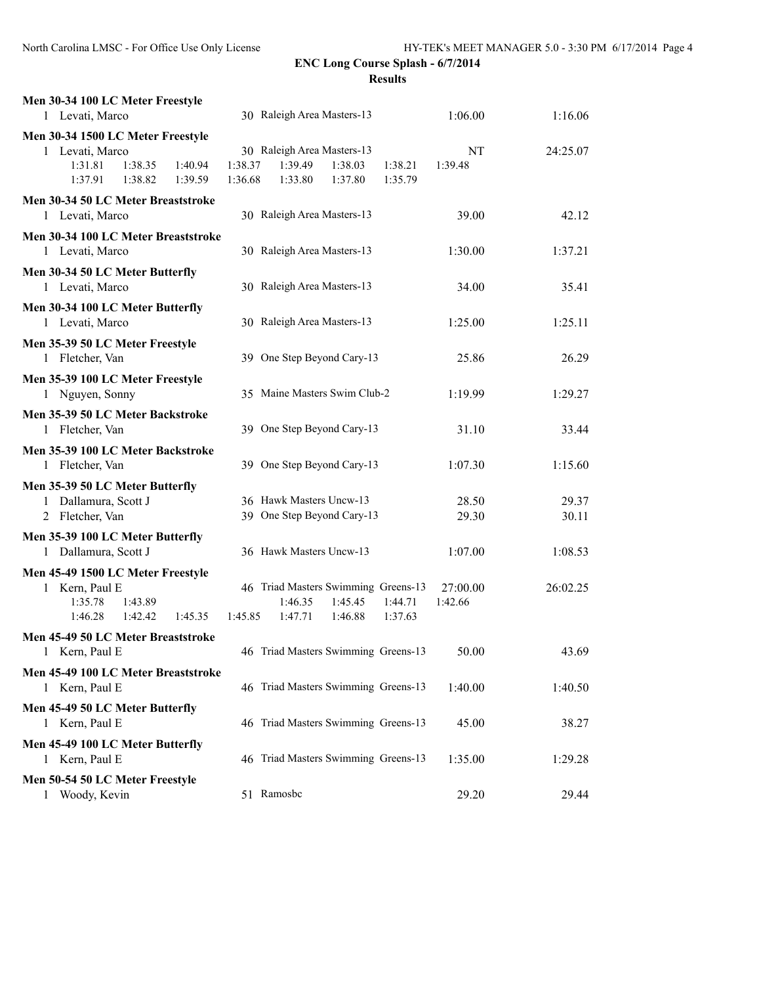| Men 30-34 100 LC Meter Freestyle<br>1 Levati, Marco                                                        | 30 Raleigh Area Masters-13                                                                                         | 1:06.00<br>1:16.06               |  |
|------------------------------------------------------------------------------------------------------------|--------------------------------------------------------------------------------------------------------------------|----------------------------------|--|
| Men 30-34 1500 LC Meter Freestyle                                                                          |                                                                                                                    |                                  |  |
| 1 Levati, Marco<br>1:31.81<br>1:38.35<br>1:40.94<br>1:37.91<br>1:38.82<br>1:39.59                          | 30 Raleigh Area Masters-13<br>1:38.37<br>1:39.49<br>1:38.03<br>1:38.21<br>1:36.68<br>1:33.80<br>1:37.80<br>1:35.79 | NT<br>24:25.07<br>1:39.48        |  |
| Men 30-34 50 LC Meter Breaststroke<br>1 Levati, Marco                                                      | 30 Raleigh Area Masters-13                                                                                         | 39.00<br>42.12                   |  |
| Men 30-34 100 LC Meter Breaststroke<br>1 Levati, Marco                                                     | 30 Raleigh Area Masters-13                                                                                         | 1:37.21<br>1:30.00               |  |
| Men 30-34 50 LC Meter Butterfly<br>1 Levati, Marco                                                         | 30 Raleigh Area Masters-13                                                                                         | 34.00<br>35.41                   |  |
| Men 30-34 100 LC Meter Butterfly<br>1 Levati, Marco                                                        | 30 Raleigh Area Masters-13                                                                                         | 1:25.00<br>1:25.11               |  |
| Men 35-39 50 LC Meter Freestyle<br>1 Fletcher, Van                                                         | 39 One Step Beyond Cary-13                                                                                         | 25.86<br>26.29                   |  |
| Men 35-39 100 LC Meter Freestyle<br>1 Nguyen, Sonny                                                        | 35 Maine Masters Swim Club-2                                                                                       | 1:19.99<br>1:29.27               |  |
| Men 35-39 50 LC Meter Backstroke<br>1 Fletcher, Van                                                        | 39 One Step Beyond Cary-13                                                                                         | 31.10<br>33.44                   |  |
| Men 35-39 100 LC Meter Backstroke<br>1 Fletcher, Van                                                       | 39 One Step Beyond Cary-13                                                                                         | 1:07.30<br>1:15.60               |  |
| Men 35-39 50 LC Meter Butterfly<br>1 Dallamura, Scott J<br>2 Fletcher, Van                                 | 36 Hawk Masters Uncw-13<br>39 One Step Beyond Cary-13                                                              | 28.50<br>29.37<br>29.30<br>30.11 |  |
| Men 35-39 100 LC Meter Butterfly<br>1 Dallamura, Scott J                                                   | 36 Hawk Masters Uncw-13                                                                                            | 1:07.00<br>1:08.53               |  |
| Men 45-49 1500 LC Meter Freestyle<br>1 Kern, Paul E<br>1:35.78<br>1:43.89<br>1:46.28<br>1:42.42<br>1:45.35 | 46 Triad Masters Swimming Greens-13<br>1:44.71<br>1:46.35<br>1:45.45<br>1:45.85<br>1:47.71<br>1:46.88<br>1:37.63   | 26:02.25<br>27:00.00<br>1:42.66  |  |
| Men 45-49 50 LC Meter Breaststroke<br>1 Kern, Paul E                                                       | 46 Triad Masters Swimming Greens-13                                                                                | 50.00<br>43.69                   |  |
| Men 45-49 100 LC Meter Breaststroke<br>1 Kern, Paul E                                                      | 46 Triad Masters Swimming Greens-13                                                                                | 1:40.00<br>1:40.50               |  |
| Men 45-49 50 LC Meter Butterfly<br>1 Kern, Paul E                                                          | 46 Triad Masters Swimming Greens-13                                                                                | 45.00<br>38.27                   |  |
| Men 45-49 100 LC Meter Butterfly<br>1 Kern, Paul E                                                         | 46 Triad Masters Swimming Greens-13                                                                                | 1:35.00<br>1:29.28               |  |
| Men 50-54 50 LC Meter Freestyle<br>1 Woody, Kevin                                                          | 51 Ramosbc                                                                                                         | 29.20<br>29.44                   |  |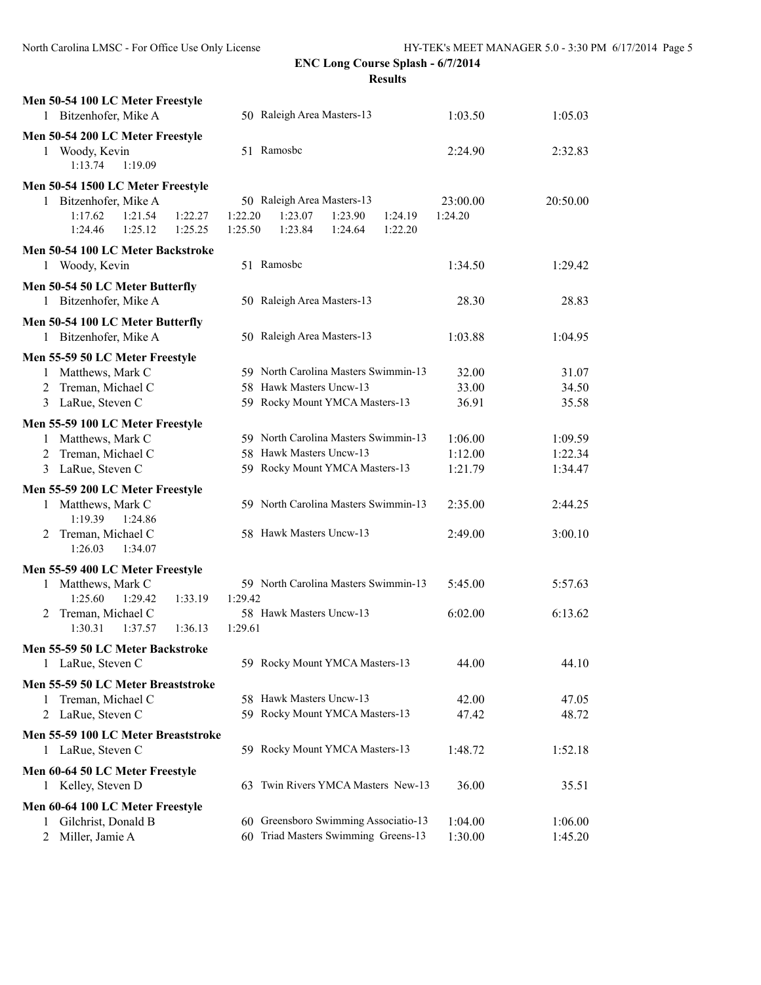| Men 50-54 100 LC Meter Freestyle          |                                          |          |          |
|-------------------------------------------|------------------------------------------|----------|----------|
| 1 Bitzenhofer, Mike A                     | 50 Raleigh Area Masters-13               | 1:03.50  | 1:05.03  |
| Men 50-54 200 LC Meter Freestyle          |                                          |          |          |
| 1 Woody, Kevin                            | 51 Ramosbc                               | 2:24.90  | 2:32.83  |
| 1:13.74<br>1:19.09                        |                                          |          |          |
| Men 50-54 1500 LC Meter Freestyle         |                                          |          |          |
| 1 Bitzenhofer, Mike A                     | 50 Raleigh Area Masters-13               | 23:00.00 | 20:50.00 |
| 1:17.62<br>1:21.54<br>1:22.27             | 1:23.07<br>1:22.20<br>1:23.90<br>1:24.19 | 1:24.20  |          |
| 1:24.46<br>1:25.12<br>1:25.25             | 1:25.50<br>1:23.84<br>1:24.64<br>1:22.20 |          |          |
| Men 50-54 100 LC Meter Backstroke         |                                          |          |          |
| 1 Woody, Kevin                            | 51 Ramosbe                               | 1:34.50  | 1:29.42  |
|                                           |                                          |          |          |
| Men 50-54 50 LC Meter Butterfly           | 50 Raleigh Area Masters-13               |          |          |
| 1 Bitzenhofer, Mike A                     |                                          | 28.30    | 28.83    |
| Men 50-54 100 LC Meter Butterfly          |                                          |          |          |
| 1 Bitzenhofer, Mike A                     | 50 Raleigh Area Masters-13               | 1:03.88  | 1:04.95  |
| Men 55-59 50 LC Meter Freestyle           |                                          |          |          |
| 1 Matthews, Mark C                        | 59 North Carolina Masters Swimmin-13     | 32.00    | 31.07    |
| Treman, Michael C<br>2                    | 58 Hawk Masters Uncw-13                  | 33.00    | 34.50    |
| 3 LaRue, Steven C                         | 59 Rocky Mount YMCA Masters-13           | 36.91    | 35.58    |
| Men 55-59 100 LC Meter Freestyle          |                                          |          |          |
| Matthews, Mark C<br>1                     | 59 North Carolina Masters Swimmin-13     | 1:06.00  | 1:09.59  |
| Treman, Michael C                         | 58 Hawk Masters Uncw-13                  | 1:12.00  | 1:22.34  |
| LaRue, Steven C<br>3                      | 59 Rocky Mount YMCA Masters-13           | 1:21.79  | 1:34.47  |
| Men 55-59 200 LC Meter Freestyle          |                                          |          |          |
| 1 Matthews, Mark C                        | 59 North Carolina Masters Swimmin-13     | 2:35.00  | 2:44.25  |
| 1:19.39<br>1:24.86                        |                                          |          |          |
| Treman, Michael C<br>2                    | 58 Hawk Masters Uncw-13                  | 2:49.00  | 3:00.10  |
| 1:26.03<br>1:34.07                        |                                          |          |          |
| Men 55-59 400 LC Meter Freestyle          |                                          |          |          |
| 1 Matthews, Mark C                        | 59 North Carolina Masters Swimmin-13     | 5:45.00  | 5:57.63  |
| 1:25.60<br>1:29.42<br>1:33.19             | 1:29.42                                  |          |          |
| Treman, Michael C<br>2                    | 58 Hawk Masters Uncw-13                  | 6:02.00  | 6:13.62  |
| 1:30.31<br>1:37.57<br>1:36.13             | 1:29.61                                  |          |          |
| Men 55-59 50 LC Meter Backstroke          |                                          |          |          |
| 1 LaRue, Steven C                         | 59 Rocky Mount YMCA Masters-13           | 44.00    | 44.10    |
|                                           |                                          |          |          |
| Men 55-59 50 LC Meter Breaststroke<br>1   | 58 Hawk Masters Uncw-13                  | 42.00    | 47.05    |
| Treman, Michael C<br>LaRue, Steven C<br>2 | 59 Rocky Mount YMCA Masters-13           | 47.42    | 48.72    |
|                                           |                                          |          |          |
| Men 55-59 100 LC Meter Breaststroke       |                                          |          |          |
| 1 LaRue, Steven C                         | 59 Rocky Mount YMCA Masters-13           | 1:48.72  | 1:52.18  |
| Men 60-64 50 LC Meter Freestyle           |                                          |          |          |
| 1 Kelley, Steven D                        | Twin Rivers YMCA Masters New-13<br>63    | 36.00    | 35.51    |
| Men 60-64 100 LC Meter Freestyle          |                                          |          |          |
| Gilchrist, Donald B<br>1                  | 60 Greensboro Swimming Associatio-13     | 1:04.00  | 1:06.00  |
| Miller, Jamie A<br>2                      | Triad Masters Swimming Greens-13<br>60   | 1:30.00  | 1:45.20  |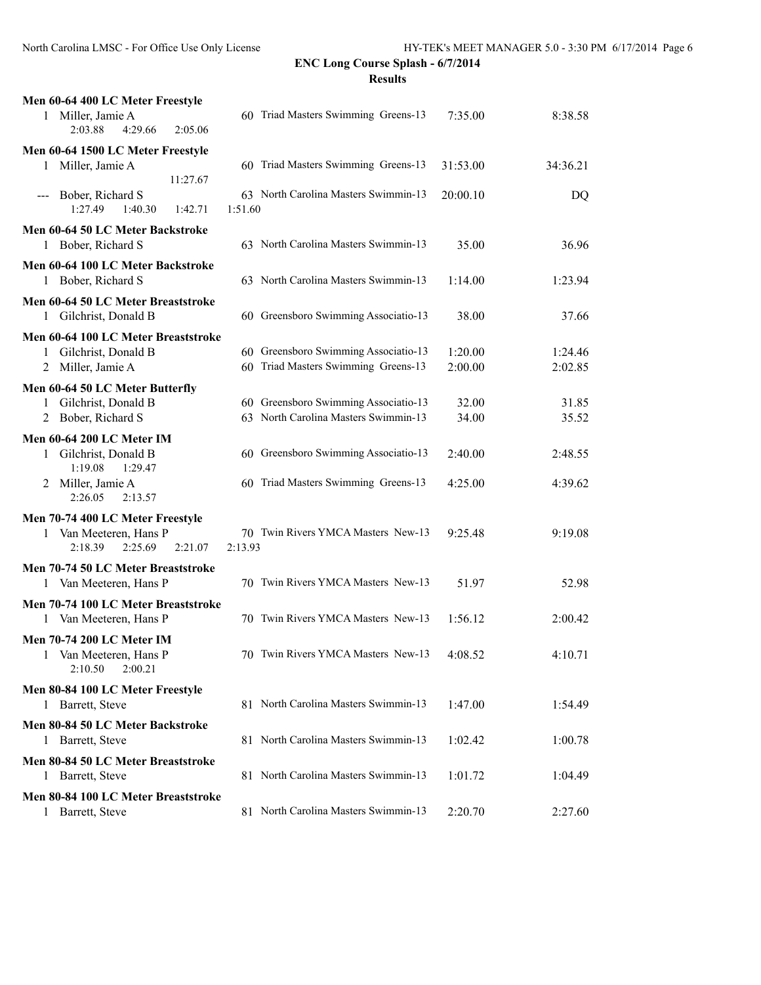| Men 60-64 400 LC Meter Freestyle                                        |                                                 |          |          |
|-------------------------------------------------------------------------|-------------------------------------------------|----------|----------|
| 1 Miller, Jamie A<br>2:03.88<br>4:29.66<br>2:05.06                      | 60 Triad Masters Swimming Greens-13             | 7:35.00  | 8:38.58  |
| Men 60-64 1500 LC Meter Freestyle                                       |                                                 |          |          |
| 1 Miller, Jamie A<br>11:27.67                                           | 60 Triad Masters Swimming Greens-13             | 31:53.00 | 34:36.21 |
| Bober, Richard S<br>1:27.49<br>1:40.30<br>1:42.71                       | 63 North Carolina Masters Swimmin-13<br>1:51.60 | 20:00.10 | DQ       |
| Men 60-64 50 LC Meter Backstroke<br>Bober, Richard S<br>1               | 63 North Carolina Masters Swimmin-13            | 35.00    | 36.96    |
| Men 60-64 100 LC Meter Backstroke<br>1 Bober, Richard S                 | 63 North Carolina Masters Swimmin-13            | 1:14.00  | 1:23.94  |
| Men 60-64 50 LC Meter Breaststroke<br>1 Gilchrist, Donald B             | 60 Greensboro Swimming Associatio-13            | 38.00    | 37.66    |
| Men 60-64 100 LC Meter Breaststroke                                     |                                                 |          |          |
| 1 Gilchrist, Donald B                                                   | 60 Greensboro Swimming Associatio-13            | 1:20.00  | 1:24.46  |
| Miller, Jamie A<br>2                                                    | 60 Triad Masters Swimming Greens-13             | 2:00.00  | 2:02.85  |
|                                                                         |                                                 |          |          |
| Men 60-64 50 LC Meter Butterfly<br>Gilchrist, Donald B                  | 60 Greensboro Swimming Associatio-13            | 32.00    | 31.85    |
| Bober, Richard S<br>2                                                   | 63 North Carolina Masters Swimmin-13            | 34.00    | 35.52    |
|                                                                         |                                                 |          |          |
| <b>Men 60-64 200 LC Meter IM</b>                                        |                                                 |          |          |
| Gilchrist, Donald B<br>1<br>1:19.08<br>1:29.47                          | 60 Greensboro Swimming Associatio-13            | 2:40.00  | 2:48.55  |
| Miller, Jamie A<br>2<br>2:26.05<br>2:13.57                              | 60 Triad Masters Swimming Greens-13             | 4:25.00  | 4:39.62  |
| Men 70-74 400 LC Meter Freestyle                                        |                                                 |          |          |
| Van Meeteren, Hans P<br>1<br>2:18.39<br>2:25.69<br>2:21.07              | 70 Twin Rivers YMCA Masters New-13<br>2:13.93   | 9:25.48  | 9:19.08  |
| Men 70-74 50 LC Meter Breaststroke                                      |                                                 |          |          |
| 1 Van Meeteren, Hans P                                                  | 70 Twin Rivers YMCA Masters New-13              | 51.97    | 52.98    |
| Men 70-74 100 LC Meter Breaststroke                                     |                                                 |          |          |
| Van Meeteren, Hans P                                                    | 70 Twin Rivers YMCA Masters New-13              | 1:56.12  | 2:00.42  |
| Men 70-74 200 LC Meter IM<br>Van Meeteren, Hans P<br>2:10.50<br>2:00.21 | 70 Twin Rivers YMCA Masters New-13              | 4:08.52  | 4:10.71  |
| Men 80-84 100 LC Meter Freestyle                                        |                                                 |          |          |
| 1 Barrett, Steve                                                        | 81 North Carolina Masters Swimmin-13            | 1:47.00  | 1:54.49  |
| Men 80-84 50 LC Meter Backstroke                                        |                                                 |          |          |
| 1 Barrett, Steve                                                        | 81 North Carolina Masters Swimmin-13            | 1:02.42  | 1:00.78  |
| Men 80-84 50 LC Meter Breaststroke                                      |                                                 |          |          |
| 1 Barrett, Steve                                                        | 81 North Carolina Masters Swimmin-13            | 1:01.72  | 1:04.49  |
| Men 80-84 100 LC Meter Breaststroke                                     |                                                 |          |          |
| 1 Barrett, Steve                                                        | 81 North Carolina Masters Swimmin-13            | 2:20.70  | 2:27.60  |